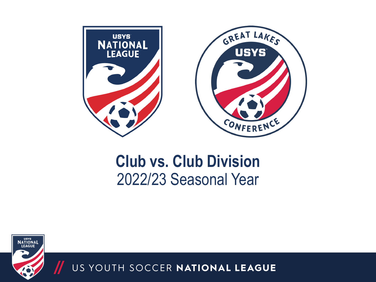

## **Club vs. Club Division** 2022/23 Seasonal Year

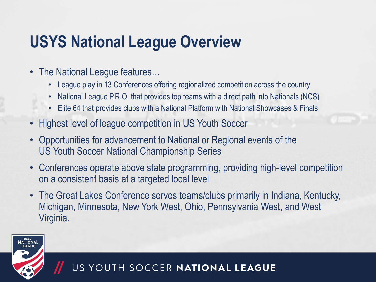# **USYS National League Overview**

- The National League features…
	- League play in 13 Conferences offering regionalized competition across the country
	- National League P.R.O. that provides top teams with a direct path into Nationals (NCS)
	- Elite 64 that provides clubs with a National Platform with National Showcases & Finals
- Highest level of league competition in US Youth Soccer
- Opportunities for advancement to National or Regional events of the US Youth Soccer National Championship Series
- Conferences operate above state programming, providing high-level competition on a consistent basis at a targeted local level
- The Great Lakes Conference serves teams/clubs primarily in Indiana, Kentucky, Michigan, Minnesota, New York West, Ohio, Pennsylvania West, and West Virginia.

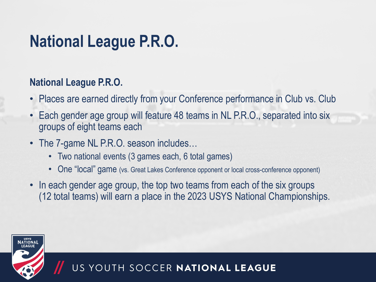# **National League P.R.O.**

#### **National League P.R.O.**

- Places are earned directly from your Conference performance in Club vs. Club
- Each gender age group will feature 48 teams in NL P.R.O., separated into six groups of eight teams each
- The 7-game NL P.R.O. season includes...
	- Two national events (3 games each, 6 total games)
	- One "local" game (vs. Great Lakes Conference opponent or local cross-conference opponent)
- In each gender age group, the top two teams from each of the six groups (12 total teams) will earn a place in the 2023 USYS National Championships.

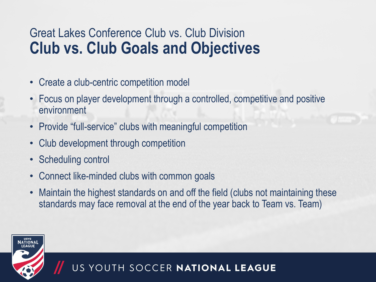## Great Lakes Conference Club vs. Club Division **Club vs. Club Goals and Objectives**

- Create a club-centric competition model
- Focus on player development through a controlled, competitive and positive environment
- Provide "full-service" clubs with meaningful competition
- Club development through competition
- Scheduling control
- Connect like-minded clubs with common goals
- Maintain the highest standards on and off the field (clubs not maintaining these standards may face removal at the end of the year back to Team vs. Team)

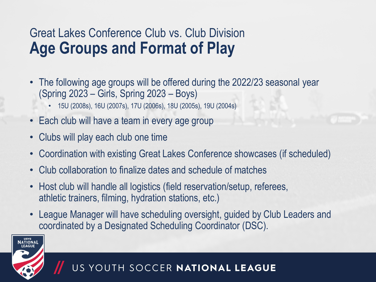## Great Lakes Conference Club vs. Club Division **Age Groups and Format of Play**

- The following age groups will be offered during the 2022/23 seasonal year (Spring 2023 – Girls, Spring 2023 – Boys)
	- 15U (2008s), 16U (2007s), 17U (2006s), 18U (2005s), 19U (2004s)
- Each club will have a team in every age group
- Clubs will play each club one time
- Coordination with existing Great Lakes Conference showcases (if scheduled)
- Club collaboration to finalize dates and schedule of matches
- Host club will handle all logistics (field reservation/setup, referees, athletic trainers, filming, hydration stations, etc.)
- League Manager will have scheduling oversight, guided by Club Leaders and coordinated by a Designated Scheduling Coordinator (DSC).

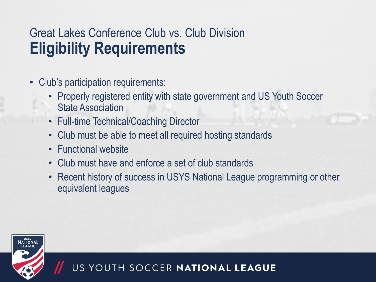## Great Lakes Conference Club vs. Club Division **Eligibility Requirements**

- Club's participation requirements:
	- Properly registered entity with state government and US Youth Soccer State Association
	- Full-time Technical/Coaching Director
	- Club must be able to meet all required hosting standards
	- Functional website
	- Club must have and enforce a set of club standards
	- Recent history of success in USYS National League programming or other equivalent leagues

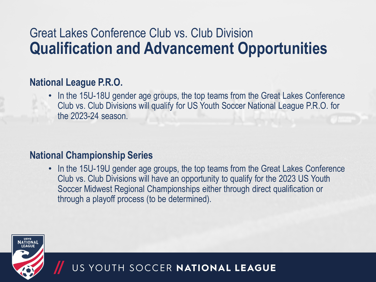## Great Lakes Conference Club vs. Club Division **Qualification and Advancement Opportunities**

#### **National League P.R.O.**

• In the 15U-18U gender age groups, the top teams from the Great Lakes Conference Club vs. Club Divisions will qualify for US Youth Soccer National League P.R.O. for the 2023-24 season.

#### **National Championship Series**

• In the 15U-19U gender age groups, the top teams from the Great Lakes Conference Club vs. Club Divisions will have an opportunity to qualify for the 2023 US Youth Soccer Midwest Regional Championships either through direct qualification or through a playoff process (to be determined).

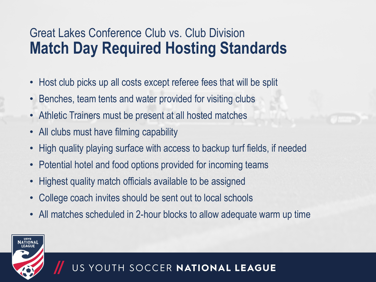## Great Lakes Conference Club vs. Club Division **Match Day Required Hosting Standards**

- Host club picks up all costs except referee fees that will be split
- Benches, team tents and water provided for visiting clubs
- Athletic Trainers must be present at all hosted matches
- All clubs must have filming capability
- High quality playing surface with access to backup turf fields, if needed
- Potential hotel and food options provided for incoming teams
- Highest quality match officials available to be assigned
- College coach invites should be sent out to local schools
- All matches scheduled in 2-hour blocks to allow adequate warm up time

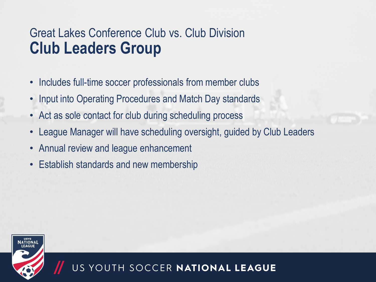## Great Lakes Conference Club vs. Club Division **Club Leaders Group**

- Includes full-time soccer professionals from member clubs
- Input into Operating Procedures and Match Day standards
- Act as sole contact for club during scheduling process
- League Manager will have scheduling oversight, guided by Club Leaders
- Annual review and league enhancement
- **Establish standards and new membership**